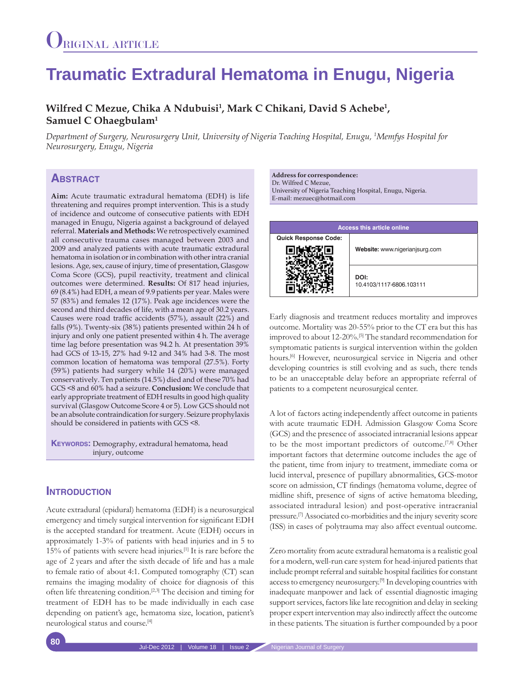# **Traumatic Extradural Hematoma in Enugu, Nigeria**

## Wilfred C Mezue, Chika A Ndubuisi<sup>1</sup>, Mark C Chikani, David S Achebe<sup>1</sup>, **Samuel C Ohaegbulam1**

*Department of Surgery, Neurosurgery Unit, University of Nigeria Teaching Hospital, Enugu, 1 Memfys Hospital for Neurosurgery, Enugu, Nigeria*

# **ABSTRACT**

**Aim:** Acute traumatic extradural hematoma (EDH) is life threatening and requires prompt intervention. This is a study of incidence and outcome of consecutive patients with EDH managed in Enugu, Nigeria against a background of delayed referral. **Materials and Methods:** We retrospectively examined all consecutive trauma cases managed between 2003 and 2009 and analyzed patients with acute traumatic extradural hematoma in isolation or in combination with other intra cranial lesions. Age, sex, cause of injury, time of presentation, Glasgow Coma Score (GCS), pupil reactivity, treatment and clinical outcomes were determined. **Results:** Of 817 head injuries, 69 (8.4%) had EDH, a mean of 9.9 patients per year. Males were 57 (83%) and females 12 (17%). Peak age incidences were the second and third decades of life, with a mean age of 30.2 years. Causes were road traffic accidents (57%), assault (22%) and falls (9%). Twenty-six (38%) patients presented within 24 h of injury and only one patient presented within 4 h. The average time lag before presentation was 94.2 h. At presentation 39% had GCS of 13-15, 27% had 9-12 and 34% had 3-8. The most common location of hematoma was temporal (27.5%). Forty (59%) patients had surgery while 14 (20%) were managed conservatively. Ten patients (14.5%) died and of these 70% had GCS <8 and 60% had a seizure. **Conclusion:** We conclude that early appropriate treatment of EDH results in good high quality survival (Glasgow Outcome Score 4 or 5). Low GCS should not be an absolute contraindication for surgery. Seizure prophylaxis should be considered in patients with GCS <8.

**Keywords:** Demography, extradural hematoma, head injury, outcome

## **INTRODUCTION**

Acute extradural (epidural) hematoma (EDH) is a neurosurgical emergency and timely surgical intervention for significant EDH is the accepted standard for treatment. Acute (EDH) occurs in approximately 1-3% of patients with head injuries and in 5 to 15% of patients with severe head injuries.[1] It is rare before the age of 2 years and after the sixth decade of life and has a male to female ratio of about 4:1. Computed tomography (CT) scan remains the imaging modality of choice for diagnosis of this often life threatening condition.[2,3] The decision and timing for treatment of EDH has to be made individually in each case depending on patient's age, hematoma size, location, patient's neurological status and course.[4]

**Address for correspondence:**  Dr. Wilfred C Mezue, University of Nigeria Teaching Hospital, Enugu, Nigeria. E-mail: mezuec@hotmail.com



Early diagnosis and treatment reduces mortality and improves outcome. Mortality was 20-55% prior to the CT era but this has improved to about 12-20%.[5] The standard recommendation for symptomatic patients is surgical intervention within the golden hours.<sup>[6]</sup> However, neurosurgical service in Nigeria and other developing countries is still evolving and as such, there tends to be an unacceptable delay before an appropriate referral of patients to a competent neurosurgical center.

A lot of factors acting independently affect outcome in patients with acute traumatic EDH. Admission Glasgow Coma Score (GCS) and the presence of associated intracranial lesions appear to be the most important predictors of outcome.[7,8] Other important factors that determine outcome includes the age of the patient, time from injury to treatment, immediate coma or lucid interval, presence of pupillary abnormalities, GCS-motor score on admission, CT findings (hematoma volume, degree of midline shift, presence of signs of active hematoma bleeding, associated intradural lesion) and post-operative intracranial pressure.[7] Associated co-morbidities and the injury severity score (ISS) in cases of polytrauma may also affect eventual outcome.

Zero mortality from acute extradural hematoma is a realistic goal for a modern, well-run care system for head-injured patients that include prompt referral and suitable hospital facilities for constant access to emergency neurosurgery.[9] In developing countries with inadequate manpower and lack of essential diagnostic imaging support services, factors like late recognition and delay in seeking proper expert intervention may also indirectly affect the outcome in these patients. The situation is further compounded by a poor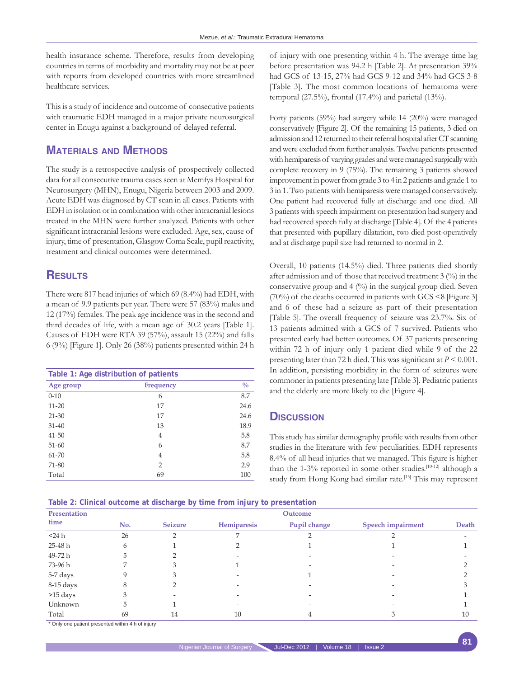health insurance scheme. Therefore, results from developing countries in terms of morbidity and mortality may not be at peer with reports from developed countries with more streamlined healthcare services.

This is a study of incidence and outcome of consecutive patients with traumatic EDH managed in a major private neurosurgical center in Enugu against a background of delayed referral.

# **Materials and Methods**

The study is a retrospective analysis of prospectively collected data for all consecutive trauma cases seen at Memfys Hospital for Neurosurgery (MHN), Enugu, Nigeria between 2003 and 2009. Acute EDH was diagnosed by CT scan in all cases. Patients with EDH in isolation or in combination with other intracranial lesions treated in the MHN were further analyzed. Patients with other significant intracranial lesions were excluded. Age, sex, cause of injury, time of presentation, Glasgow Coma Scale, pupil reactivity, treatment and clinical outcomes were determined.

## **Results**

There were 817 head injuries of which 69 (8.4%) had EDH, with a mean of 9.9 patients per year. There were 57 (83%) males and 12 (17%) females. The peak age incidence was in the second and third decades of life, with a mean age of 30.2 years [Table 1]. Causes of EDH were RTA 39 (57%), assault 15 (22%) and falls 6 (9%) [Figure 1]. Only 26 (38%) patients presented within 24 h

|           | Table 1: Age distribution of patients |               |
|-----------|---------------------------------------|---------------|
| Age group | <b>Frequency</b>                      | $\frac{0}{0}$ |
| $0 - 10$  | 6                                     | 8.7           |
| $11 - 20$ | 17                                    | 24.6          |
| $21 - 30$ | 17                                    | 24.6          |
| $31 - 40$ | 13                                    | 18.9          |
| 41-50     | 4                                     | 5.8           |
| $51 - 60$ | 6                                     | 8.7           |
| 61-70     | 4                                     | 5.8           |
| 71-80     | $\overline{2}$                        | 2.9           |
| Total     | 69                                    | 100           |

of injury with one presenting within 4 h. The average time lag before presentation was 94.2 h [Table 2]. At presentation 39% had GCS of 13-15, 27% had GCS 9-12 and 34% had GCS 3-8 [Table 3]. The most common locations of hematoma were temporal (27.5%), frontal (17.4%) and parietal (13%).

Forty patients (59%) had surgery while 14 (20%) were managed conservatively [Figure 2]. Of the remaining 15 patients, 3 died on admission and 12 returned to their referral hospital after CT scanning and were excluded from further analysis. Twelve patients presented with hemiparesis of varying grades and were managed surgically with complete recovery in 9 (75%). The remaining 3 patients showed improvement in power from grade 3 to 4 in 2 patients and grade 1 to 3 in 1. Two patients with hemiparesis were managed conservatively. One patient had recovered fully at discharge and one died. All 3 patients with speech impairment on presentation had surgery and had recovered speech fully at discharge [Table 4]. Of the 4 patients that presented with pupillary dilatation, two died post-operatively and at discharge pupil size had returned to normal in 2.

Overall, 10 patients (14.5%) died. Three patients died shortly after admission and of those that received treatment 3 (%) in the conservative group and  $4 \binom{0}{0}$  in the surgical group died. Seven (70%) of the deaths occurred in patients with GCS <8 [Figure 3] and 6 of these had a seizure as part of their presentation [Table 5]. The overall frequency of seizure was 23.7%. Six of 13 patients admitted with a GCS of 7 survived. Patients who presented early had better outcomes. Of 37 patients presenting within 72 h of injury only 1 patient died while 9 of the 22 presenting later than 72 h died. This was significant at *P* < 0.001. In addition, persisting morbidity in the form of seizures were commoner in patients presenting late [Table 3]. Pediatric patients and the elderly are more likely to die [Figure 4].

### **Discussion**

This study has similar demography profile with results from other studies in the literature with few peculiarities. EDH represents 8.4% of all head injuries that we managed. This figure is higher than the 1-3% reported in some other studies.<sup>[10-12]</sup> although a study from Hong Kong had similar rate.<sup>[13]</sup> This may represent

| Presentation<br>time | Outcome |                |             |              |                          |       |
|----------------------|---------|----------------|-------------|--------------|--------------------------|-------|
|                      | No.     | <b>Seizure</b> | Hemiparesis | Pupil change | <b>Speech impairment</b> | Death |
| $<$ 24 h             | 26      |                |             |              |                          |       |
| 25-48 h              | n       |                |             |              |                          |       |
| 49-72 h              |         |                |             |              |                          |       |
| 73-96 h              |         |                |             |              |                          |       |
| 5-7 days             |         |                |             |              |                          |       |
| 8-15 days            |         |                |             |              |                          |       |
| >15 days             |         |                |             |              |                          |       |
| Unknown              |         |                |             |              |                          |       |
| Total                | 69      | 14             | 10          |              |                          | 10    |

\* Only one patient presented within 4 h of injury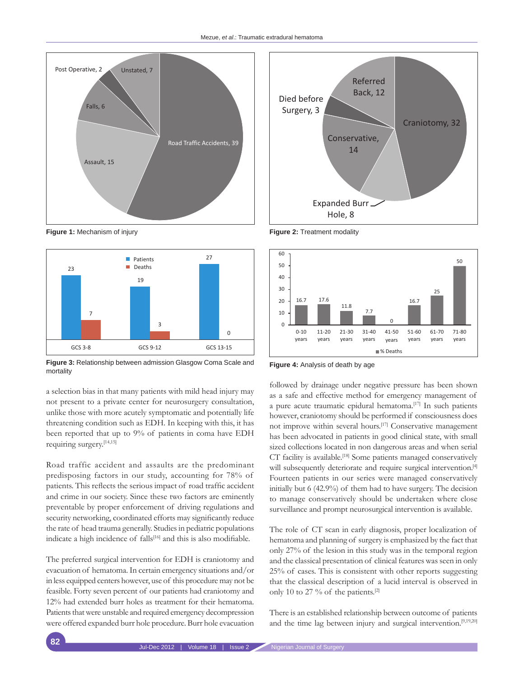



**Figure 3:** Relationship between admission Glasgow Coma Scale and mortality **Figure 4:** Analysis of death by age

a selection bias in that many patients with mild head injury may not present to a private center for neurosurgery consultation, unlike those with more acutely symptomatic and potentially life threatening condition such as EDH. In keeping with this, it has been reported that up to 9% of patients in coma have EDH requiring surgery.[14,15]

Road traffic accident and assaults are the predominant predisposing factors in our study, accounting for 78% of patients. This reflects the serious impact of road traffic accident and crime in our society. Since these two factors are eminently preventable by proper enforcement of driving regulations and security networking, coordinated efforts may significantly reduce the rate of head trauma generally. Studies in pediatric populations indicate a high incidence of falls<sup>[16]</sup> and this is also modifiable.

The preferred surgical intervention for EDH is craniotomy and evacuation of hematoma. In certain emergency situations and/or in less equipped centers however, use of this procedure may not be feasible. Forty seven percent of our patients had craniotomy and 12% had extended burr holes as treatment for their hematoma. Patients that were unstable and required emergency decompression were offered expanded burr hole procedure. Burr hole evacuation



**Figure 1:** Mechanism of injury **Figure 2:** Treatment modality



followed by drainage under negative pressure has been shown as a safe and effective method for emergency management of a pure acute traumatic epidural hematoma.<sup>[17]</sup> In such patients however, craniotomy should be performed if consciousness does not improve within several hours.[17] Conservative management has been advocated in patients in good clinical state, with small sized collections located in non dangerous areas and when serial CT facility is available.<sup>[18]</sup> Some patients managed conservatively will subsequently deteriorate and require surgical intervention.<sup>[4]</sup> Fourteen patients in our series were managed conservatively initially but 6 (42.9%) of them had to have surgery. The decision to manage conservatively should be undertaken where close surveillance and prompt neurosurgical intervention is available.

The role of CT scan in early diagnosis, proper localization of hematoma and planning of surgery is emphasized by the fact that only 27% of the lesion in this study was in the temporal region and the classical presentation of clinical features was seen in only 25% of cases. This is consistent with other reports suggesting that the classical description of a lucid interval is observed in only 10 to 27 % of the patients.<sup>[2]</sup>

There is an established relationship between outcome of patients and the time lag between injury and surgical intervention.<sup>[9,19,20]</sup>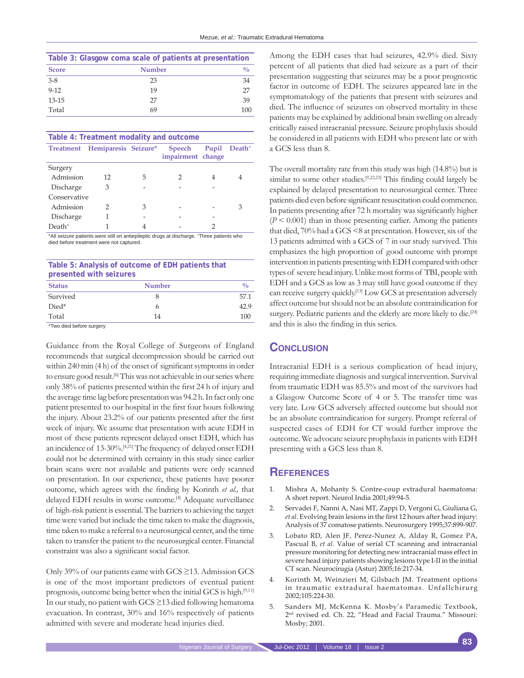| Table 3: Glasgow coma scale of patients at presentation |               |               |  |
|---------------------------------------------------------|---------------|---------------|--|
| <b>Score</b>                                            | <b>Number</b> | $\frac{0}{0}$ |  |
| $3 - 8$                                                 | 23            | 34            |  |
| $9 - 12$                                                | 19            | 27            |  |
| 13-15                                                   | 27            | 39            |  |
| Total                                                   | 69            | 100           |  |

| Table 4: Treatment modality and outcome |                                |   |                             |   |                          |
|-----------------------------------------|--------------------------------|---|-----------------------------|---|--------------------------|
|                                         | Treatment Hemiparesis Seizure* |   | Speech<br>impairment change |   | Pupil Death <sup>+</sup> |
| Surgery                                 |                                |   |                             |   |                          |
| Admission                               | 12                             | 5 | 2                           | 4 |                          |
| Discharge                               | З                              |   |                             |   |                          |
| Conservative                            |                                |   |                             |   |                          |
| Admission                               | 2                              | З |                             |   | З                        |
| Discharge                               |                                |   |                             |   |                          |
| $Death+$                                |                                |   |                             |   |                          |

\*All seizure patients were still on antiepileptic drugs at discharge. +Three patients who died before treatment were not captured.

**Table 5: Analysis of outcome of EDH patients that presented with seizures**

| <b>Status</b> | <b>Number</b> | υ    |
|---------------|---------------|------|
| Survived      |               | 57.1 |
| Died*         | 6             | 429  |
| Total         | 14            | 100  |
|               |               |      |

\*Two died before surgery

Guidance from the Royal College of Surgeons of England recommends that surgical decompression should be carried out within 240 min (4 h) of the onset of significant symptoms in order to ensure good result.<sup>[6]</sup> This was not achievable in our series where only 38% of patients presented within the first 24 h of injury and the average time lag before presentation was 94.2 h. In fact only one patient presented to our hospital in the first four hours following the injury. About 23.2% of our patients presented after the first week of injury. We assume that presentation with acute EDH in most of these patients represent delayed onset EDH, which has an incidence of 13-30%.[4,21] The frequency of delayed onset EDH could not be determined with certainty in this study since earlier brain scans were not available and patients were only scanned on presentation. In our experience, these patients have poorer outcome, which agrees with the finding by Korinth *et al.,* that delayed EDH results in worse outcome.<sup>[4]</sup> Adequate surveillance of high-risk patient is essential. The barriers to achieving the target time were varied but include the time taken to make the diagnosis, time taken to make a referral to a neurosurgical center, and the time taken to transfer the patient to the neurosurgical center. Financial constraint was also a significant social factor.

Only 39% of our patients came with GCS ≥13. Admission GCS is one of the most important predictors of eventual patient prognosis, outcome being better when the initial GCS is high.[9,11] In our study, no patient with GCS ≥13 died following hematoma evacuation. In contrast, 30% and 16% respectively of patients admitted with severe and moderate head injuries died.

Among the EDH cases that had seizures, 42.9% died. Sixty percent of all patients that died had seizure as a part of their presentation suggesting that seizures may be a poor prognostic factor in outcome of EDH. The seizures appeared late in the symptomatology of the patients that present with seizures and died. The influence of seizures on observed mortality in these patients may be explained by additional brain swelling on already critically raised intracranial pressure. Seizure prophylaxis should be considered in all patients with EDH who present late or with a GCS less than 8.

The overall mortality rate from this study was high (14.8%) but is similar to some other studies.<sup>[9,22,23]</sup> This finding could largely be explained by delayed presentation to neurosurgical center. Three patients died even before significant resuscitation could commence. In patients presenting after 72 h mortality was significantly higher  $(P \leq 0.001)$  than in those presenting earlier. Among the patients that died, 70% had a GCS <8 at presentation. However, six of the 13 patients admitted with a GCS of 7 in our study survived. This emphasizes the high proportion of good outcome with prompt intervention in patients presenting with EDH compared with other types of severe head injury. Unlike most forms of TBI, people with EDH and a GCS as low as 3 may still have good outcome if they can receive surgery quickly.[13] Low GCS at presentation adversely affect outcome but should not be an absolute contraindication for surgery. Pediatric patients and the elderly are more likely to die.<sup>[24]</sup> and this is also the finding in this series.

#### **Conclusion**

Intracranial EDH is a serious complication of head injury, requiring immediate diagnosis and surgical intervention. Survival from traumatic EDH was 85.5% and most of the survivors had a Glasgow Outcome Score of 4 or 5. The transfer time was very late. Low GCS adversely affected outcome but should not be an absolute contraindication for surgery. Prompt referral of suspected cases of EDH for CT would further improve the outcome. We advocate seizure prophylaxis in patients with EDH presenting with a GCS less than 8.

### **References**

- 1. Mishra A, Mohanty S. Contre-coup extradural haematoma: A short report. Neurol India 2001;49:94-5.
- 2. Servadei F, Nanni A, Nasi MT, Zappi D, Vergoni G, Giuliana G, *et al.* Evolving brain lesions in the first 12 hours after head injury: Analysis of 37 comatose patients. Neurosurgery 1995;37:899-907.
- 3. Lobato RD, Alen JF, Perez-Nunez A, Alday R, Gomez PA, Pascual B, *et al.* Value of serial CT scanning and intracranial pressure monitoring for detecting new intracranial mass effect in severe head injury patients showing lesions type I-II in the initial CT scan. Neurocirugia (Astur) 2005;16:217-34.
- 4. Korinth M, Weinzieri M, Gilsbach JM. Treatment options in traumatic extradural haematomas. Unfallchirurg 2002;105:224-30.
- 5. Sanders MJ, McKenna K. Mosby's Paramedic Textbook, 2nd revised ed. Ch. 22, "Head and Facial Trauma." Missouri: Mosby; 2001.